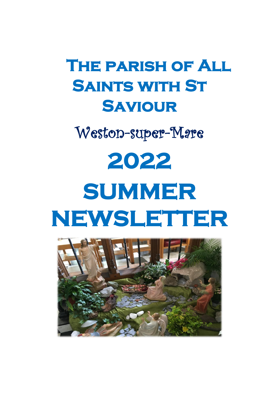# **The parish of All Saints with St Saviour**

Weston-super-Mare

# **2022 SUMMER NEWSLETTER**

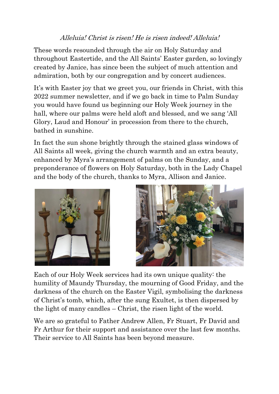#### Alleluia! Christ is risen! He is risen indeed! Alleluia!

These words resounded through the air on Holy Saturday and throughout Eastertide, and the All Saints' Easter garden, so lovingly created by Janice, has since been the subject of much attention and admiration, both by our congregation and by concert audiences.

It's with Easter joy that we greet you, our friends in Christ, with this 2022 summer newsletter, and if we go back in time to Palm Sunday you would have found us beginning our Holy Week journey in the hall, where our palms were held aloft and blessed, and we sang 'All Glory, Laud and Honour' in procession from there to the church, bathed in sunshine.

In fact the sun shone brightly through the stained glass windows of All Saints all week, giving the church warmth and an extra beauty, enhanced by Myra's arrangement of palms on the Sunday, and a preponderance of flowers on Holy Saturday, both in the Lady Chapel and the body of the church, thanks to Myra, Allison and Janice.





Each of our Holy Week services had its own unique quality: the humility of Maundy Thursday, the mourning of Good Friday, and the darkness of the church on the Easter Vigil, symbolising the darkness of Christ's tomb, which, after the sung Exultet, is then dispersed by the light of many candles – Christ, the risen light of the world.

We are so grateful to Father Andrew Allen, Fr Stuart, Fr David and Fr Arthur for their support and assistance over the last few months. Their service to All Saints has been beyond measure.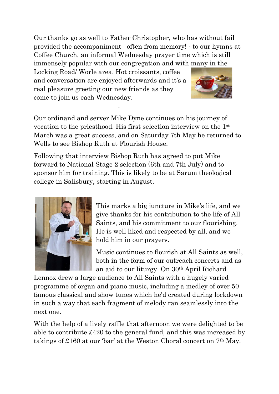Our thanks go as well to Father Christopher, who has without fail provided the accompaniment –often from memory! - to our hymns at Coffee Church, an informal Wednesday prayer time which is still immensely popular with our congregation and with many in the

Locking Road/ Worle area. Hot croissants, coffee and conversation are enjoyed afterwards and it's a real pleasure greeting our new friends as they come to join us each Wednesday.

.



Our ordinand and server Mike Dyne continues on his journey of vocation to the priesthood. His first selection interview on the 1st March was a great success, and on Saturday 7th May he returned to Wells to see Bishop Ruth at Flourish House.

Following that interview Bishop Ruth has agreed to put Mike forward to National Stage 2 selection (6th and 7th July) and to sponsor him for training. This is likely to be at Sarum theological college in Salisbury, starting in August.



This marks a big juncture in Mike's life, and we give thanks for his contribution to the life of All Saints, and his commitment to our flourishing. He is well liked and respected by all, and we hold him in our prayers.

Music continues to flourish at All Saints as well, both in the form of our outreach concerts and as an aid to our liturgy. On 30th April Richard

Lennox drew a large audience to All Saints with a hugely varied programme of organ and piano music, including a medley of over 50 famous classical and show tunes which he'd created during lockdown in such a way that each fragment of melody ran seamlessly into the next one.

With the help of a lively raffle that afternoon we were delighted to be able to contribute £420 to the general fund, and this was increased by takings of £160 at our 'bar' at the Weston Choral concert on 7th May.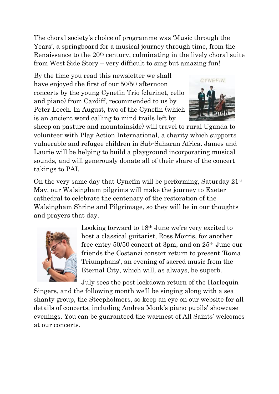The choral society's choice of programme was 'Music through the Years', a springboard for a musical journey through time, from the Renaissance to the 20th century, culminating in the lively choral suite from West Side Story – very difficult to sing but amazing fun!

By the time you read this newsletter we shall have enjoyed the first of our 50/50 afternoon concerts by the young Cynefin Trio (clarinet, cello and piano) from Cardiff, recommended to us by Peter Leech. In August, two of the Cynefin (which is an ancient word calling to mind trails left by



sheep on pasture and mountainside) will travel to rural Uganda to volunteer with Play Action International, a charity which supports vulnerable and refugee children in Sub-Saharan Africa. James and Laurie will be helping to build a playground incorporating musical sounds, and will generously donate all of their share of the concert takings to PAI.

On the very same day that Cynefin will be performing, Saturday  $21<sup>st</sup>$ May, our Walsingham pilgrims will make the journey to Exeter cathedral to celebrate the centenary of the restoration of the Walsingham Shrine and Pilgrimage, so they will be in our thoughts and prayers that day.



Looking forward to 18th June we're very excited to host a classical guitarist, Ross Morris, for another free entry 50/50 concert at 3pm, and on 25th June our friends the Costanzi consort return to present 'Roma Triumphans', an evening of sacred music from the Eternal City, which will, as always, be superb.

July sees the post lockdown return of the Harlequin

Singers, and the following month we'll be singing along with a sea shanty group, the Steepholmers, so keep an eye on our website for all details of concerts, including Andrea Monk's piano pupils' showcase evenings. You can be guaranteed the warmest of All Saints' welcomes at our concerts.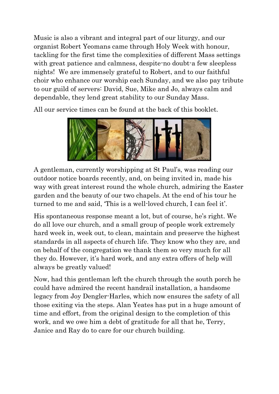Music is also a vibrant and integral part of our liturgy, and our organist Robert Yeomans came through Holy Week with honour, tackling for the first time the complexities of different Mass settings with great patience and calmness, despite-no doubt-a few sleepless nights! We are immensely grateful to Robert, and to our faithful choir who enhance our worship each Sunday, and we also pay tribute to our guild of servers: David, Sue, Mike and Jo, always calm and dependable, they lend great stability to our Sunday Mass.

All our service times can be found at the back of this booklet.



A gentleman, currently worshipping at St Paul's, was reading our outdoor notice boards recently, and, on being invited in, made his way with great interest round the whole church, admiring the Easter garden and the beauty of our two chapels. At the end of his tour he turned to me and said, 'This is a well-loved church, I can feel it'.

His spontaneous response meant a lot, but of course, he's right. We do all love our church, and a small group of people work extremely hard week in, week out, to clean, maintain and preserve the highest standards in all aspects of church life. They know who they are, and on behalf of the congregation we thank them so very much for all they do. However, it's hard work, and any extra offers of help will always be greatly valued!

Now, had this gentleman left the church through the south porch he could have admired the recent handrail installation, a handsome legacy from Joy Dengler-Harles, which now ensures the safety of all those exiting via the steps. Alan Yeates has put in a huge amount of time and effort, from the original design to the completion of this work, and we owe him a debt of gratitude for all that he, Terry, Janice and Ray do to care for our church building.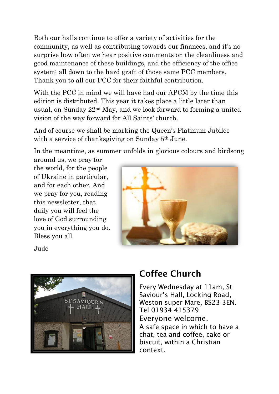Both our halls continue to offer a variety of activities for the community, as well as contributing towards our finances, and it's no surprise how often we hear positive comments on the cleanliness and good maintenance of these buildings, and the efficiency of the office system; all down to the hard graft of those same PCC members. Thank you to all our PCC for their faithful contribution.

With the PCC in mind we will have had our APCM by the time this edition is distributed. This year it takes place a little later than usual, on Sunday 22nd May, and we look forward to forming a united vision of the way forward for All Saints' church.

And of course we shall be marking the Queen's Platinum Jubilee with a service of thanksgiving on Sunday 5th June.

In the meantime, as summer unfolds in glorious colours and birdsong

around us, we pray for the world, for the people of Ukraine in particular, and for each other. And we pray for you, reading this newsletter, that daily you will feel the love of God surrounding you in everything you do. Bless you all.



Jude



## Coffee Church

Every Wednesday at 11am, St Saviour's Hall, Locking Road, Weston super Mare, BS23 3EN. Tel 01934 415379 Everyone welcome. A safe space in which to have a chat, tea and coffee, cake or biscuit, within a Christian context.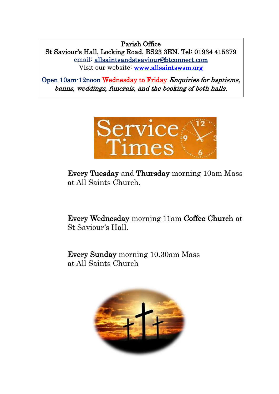Parish Office St Saviour's Hall, Locking Road, BS23 3EN. Tel: 01934 415379 email: [allsaintsandstsaviour@btconnect.com](mailto:allsaintsandstsaviour@btconnect.com) Visit our website: [www.allsaintswsm.org](http://www.allsaintswsm.org/) 

Open 10am-12noon Wednesday to Friday Enquiries for baptisms, banns, weddings, funerals, and the booking of both halls.



Every Tuesday and Thursday morning 10am Mass at All Saints Church.

Every Wednesday morning 11am Coffee Church at St Saviour's Hall.

Every Sunday morning 10.30am Mass at All Saints Church